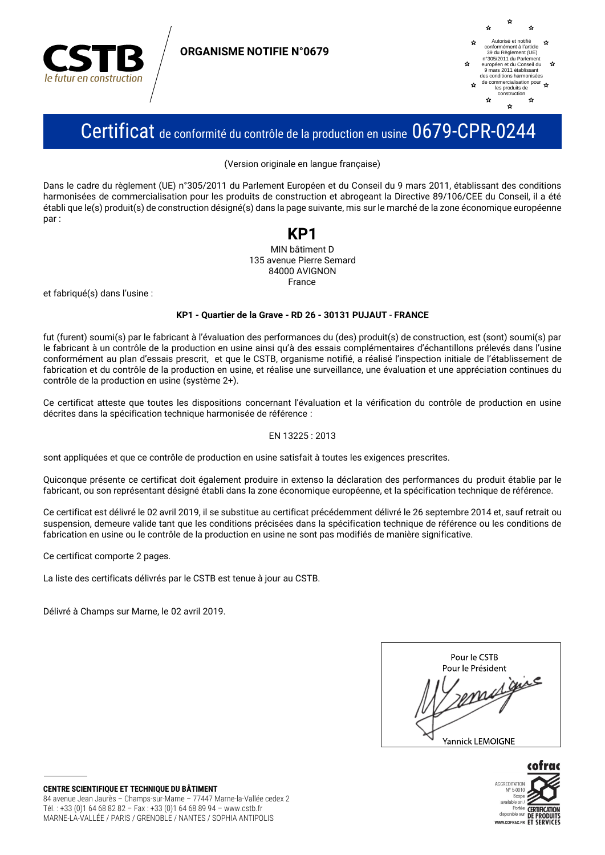

**ORGANISME NOTIFIE N°0679** 



## Certificat de conformité du contrôle de la production en usine 0679-CPR-0244

(Version originale en langue française)

Dans le cadre du règlement (UE) n°305/2011 du Parlement Européen et du Conseil du 9 mars 2011, établissant des conditions harmonisées de commercialisation pour les produits de construction et abrogeant la Directive 89/106/CEE du Conseil, il a été établi que le(s) produit(s) de construction désigné(s) dans la page suivante, mis sur le marché de la zone économique européenne nar:

### KP1 MIN bâtiment D 135 avenue Pierre Semard 84000 AVIGNON France

et fabriqué(s) dans l'usine :

#### KP1 - Quartier de la Grave - RD 26 - 30131 PUJAUT - FRANCE

fut (furent) soumi(s) par le fabricant à l'évaluation des performances du (des) produit(s) de construction, est (sont) soumi(s) par le fabricant à un contrôle de la production en usine ainsi qu'à des essais complémentaires d'échantillons prélevés dans l'usine conformément au plan d'essais prescrit, et que le CSTB, organisme notifié, a réalisé l'inspection initiale de l'établissement de fabrication et du contrôle de la production en usine, et réalise une surveillance, une évaluation et une appréciation continues du contrôle de la production en usine (système 2+).

Ce certificat atteste que toutes les dispositions concernant l'évaluation et la vérification du contrôle de production en usine décrites dans la spécification technique harmonisée de référence :

### EN 13225: 2013

sont appliquées et que ce contrôle de production en usine satisfait à toutes les exigences prescrites.

Quiconque présente ce certificat doit également produire in extenso la déclaration des performances du produit établie par le fabricant, ou son représentant désigné établi dans la zone économique européenne, et la spécification technique de référence.

Ce certificat est délivré le 02 avril 2019, il se substitue au certificat précédemment délivré le 26 septembre 2014 et, sauf retrait ou suspension, demeure valide tant que les conditions précisées dans la spécification technique de référence ou les conditions de fabrication en usine ou le contrôle de la production en usine ne sont pas modifiés de manière significative.

Ce certificat comporte 2 pages.

La liste des certificats délivrés par le CSTB est tenue à jour au CSTB.

Délivré à Champs sur Marne, le 02 avril 2019.

| Pour le CSTB<br>Pour le Président |
|-----------------------------------|
|                                   |
|                                   |
| $A^e$                             |
|                                   |
| Yannick LEMOIGNE                  |



**CENTRE SCIENTIFIQUE ET TECHNIQUE DU BÂTIMENT** 84 avenue Jean Jaurès - Champs-sur-Marne - 77447 Marne-la-Vallée cedex 2 Tél.: +33 (0)1 64 68 82 82 - Fax: +33 (0)1 64 68 89 94 - www.cstb.fr MARNE-LA-VALLÉE / PARIS / GRENOBLE / NANTES / SOPHIA ANTIPOLIS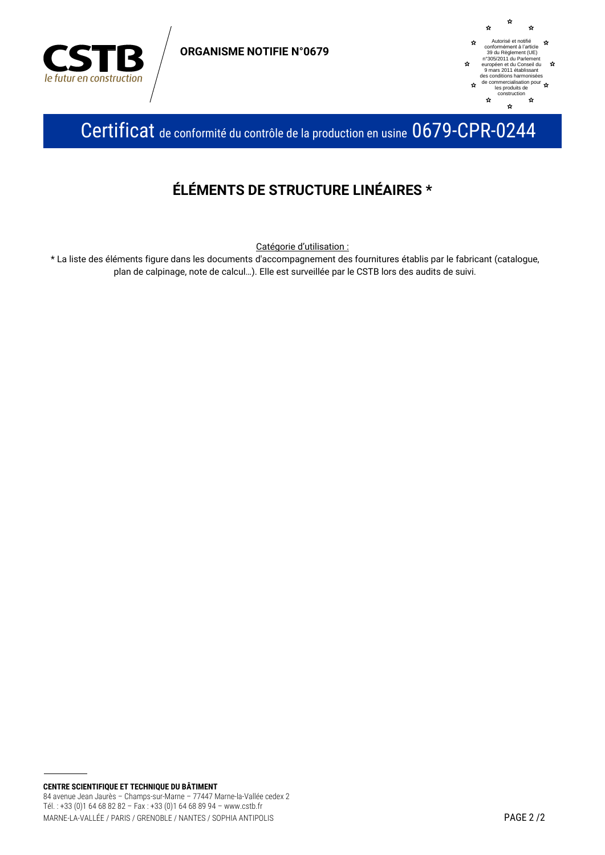

**ORGANISME NOTIFIE N°0679** 



Certificat de conformité du contrôle de la production en usine 0679-CPR-0244

### ÉLÉMENTS DE STRUCTURE LINÉAIRES \*

Catégorie d'utilisation :

\* La liste des éléments figure dans les documents d'accompagnement des fournitures établis par le fabricant (catalogue, plan de calpinage, note de calcul...). Elle est surveillée par le CSTB lors des audits de suivi.

CENTRE SCIENTIFIQUE ET TECHNIQUE DU BÂTIMENT 84 avenue Jean Jaurès - Champs-sur-Marne - 77447 Marne-la-Vallée cedex 2 Tél.: +33 (0)1 64 68 82 82 - Fax: +33 (0)1 64 68 89 94 - www.cstb.fr MARNE-LA-VALLÉE / PARIS / GRENOBLE / NANTES / SOPHIA ANTIPOLIS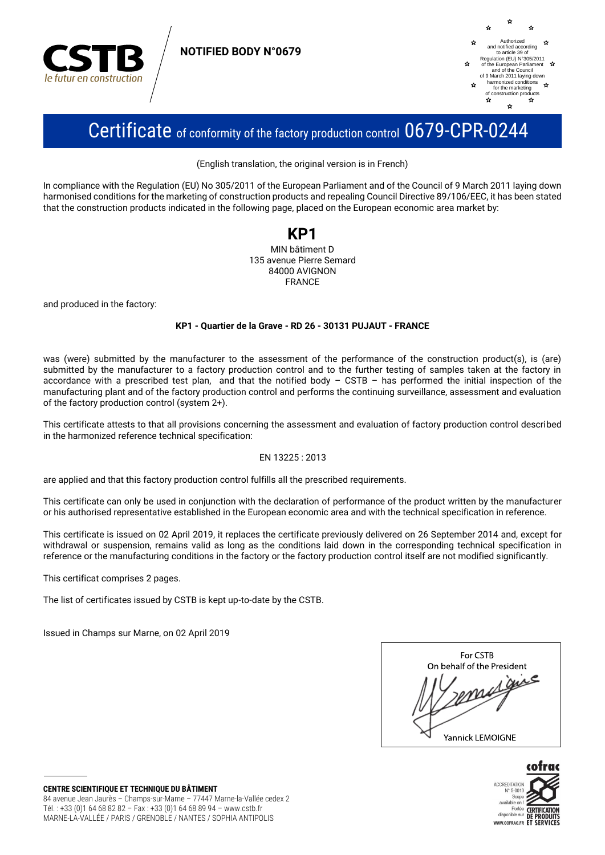

**NOTIFIED BODY N°0679**



# Certificate of conformity of the factory production control 0679-CPR-0244

(English translation, the original version is in French)

In compliance with the Regulation (EU) No 305/2011 of the European Parliament and of the Council of 9 March 2011 laying down harmonised conditions for the marketing of construction products and repealing Council Directive 89/106/EEC, it has been stated that the construction products indicated in the following page, placed on the European economic area market by:

### **KP1** MIN bâtiment D 135 avenue Pierre Semard 84000 AVIGNON FRANCE

and produced in the factory:

### **KP1 - Quartier de la Grave - RD 26 - 30131 PUJAUT - FRANCE**

was (were) submitted by the manufacturer to the assessment of the performance of the construction product(s), is (are) submitted by the manufacturer to a factory production control and to the further testing of samples taken at the factory in accordance with a prescribed test plan, and that the notified body – CSTB – has performed the initial inspection of the manufacturing plant and of the factory production control and performs the continuing surveillance, assessment and evaluation of the factory production control (system 2+).

This certificate attests to that all provisions concerning the assessment and evaluation of factory production control described in the harmonized reference technical specification:

### EN 13225 : 2013

are applied and that this factory production control fulfills all the prescribed requirements.

This certificate can only be used in conjunction with the declaration of performance of the product written by the manufacturer or his authorised representative established in the European economic area and with the technical specification in reference.

This certificate is issued on 02 April 2019, it replaces the certificate previously delivered on 26 September 2014 and, except for withdrawal or suspension, remains valid as long as the conditions laid down in the corresponding technical specification in reference or the manufacturing conditions in the factory or the factory production control itself are not modified significantly.

This certificat comprises 2 pages.

The list of certificates issued by CSTB is kept up-to-date by the CSTB.

Issued in Champs sur Marne, on 02 April 2019

| For CSTB                   |
|----------------------------|
| On behalf of the President |
| $\cdot$ e                  |
| Yannick LEMOIGNE           |



**CENTRE SCIENTIFIQUE ET TECHNIQUE DU BÂTIMENT** 84 avenue Jean Jaurès – Champs-sur-Marne – 77447 Marne-la-Vallée cedex 2 Tél. : +33 (0)1 64 68 82 82 – Fax : +33 (0)1 64 68 89 94 – www.cstb.fr MARNE-LA-VALLÉE / PARIS / GRENOBLE / NANTES / SOPHIA ANTIPOLIS